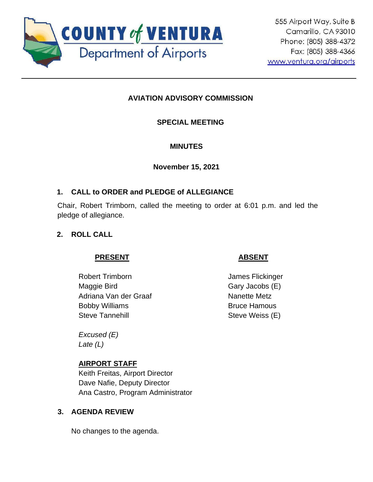

# **AVIATION ADVISORY COMMISSION**

## **SPECIAL MEETING**

## **MINUTES**

**November 15, 2021**

## **1. CALL to ORDER and PLEDGE of ALLEGIANCE**

Chair, Robert Trimborn, called the meeting to order at 6:01 p.m. and led the pledge of allegiance.

# **2. ROLL CALL**

## **PRESENT**

Robert Trimborn Maggie Bird Adriana Van der Graaf Bobby Williams Steve Tannehill

*Excused (E) Late (L)*

# **AIRPORT STAFF**

Keith Freitas, Airport Director Dave Nafie, Deputy Director Ana Castro, Program Administrator

## **3. AGENDA REVIEW**

No changes to the agenda.

# **ABSENT**

James Flickinger Gary Jacobs (E) Nanette Metz Bruce Hamous Steve Weiss (E)